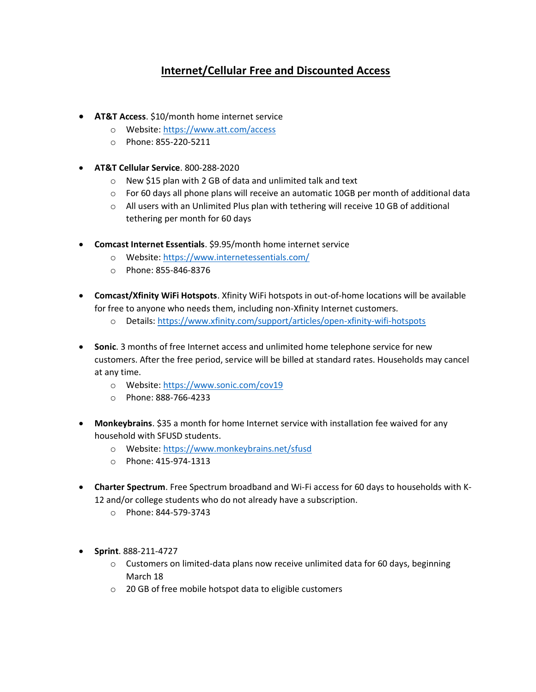## **Internet/Cellular Free and Discounted Access**

- **AT&T Access**. \$10/month home internet service
	- o Website:<https://www.att.com/access>
	- o Phone: 855-220-5211
- **AT&T Cellular Service**. 800-288-2020
	- o New \$15 plan with 2 GB of data and unlimited talk and text
	- $\circ$  For 60 days all phone plans will receive an automatic 10GB per month of additional data
	- o All users with an Unlimited Plus plan with tethering will receive 10 GB of additional tethering per month for 60 days
- **Comcast Internet Essentials**. \$9.95/month home internet service
	- o Website:<https://www.internetessentials.com/>
	- o Phone: 855-846-8376
- **Comcast/Xfinity WiFi Hotspots**. Xfinity WiFi hotspots in out-of-home locations will be available for free to anyone who needs them, including non-Xfinity Internet customers.
	- o Details:<https://www.xfinity.com/support/articles/open-xfinity-wifi-hotspots>
- **Sonic**. 3 months of free Internet access and unlimited home telephone service for new customers. After the free period, service will be billed at standard rates. Households may cancel at any time.
	- o Website:<https://www.sonic.com/cov19>
	- o Phone: 888-766-4233
- **Monkeybrains**. \$35 a month for home Internet service with installation fee waived for any household with SFUSD students.
	- o Website:<https://www.monkeybrains.net/sfusd>
	- o Phone: 415-974-1313
- **Charter Spectrum**. Free Spectrum broadband and Wi-Fi access for 60 days to households with K-12 and/or college students who do not already have a subscription.
	- o Phone: 844-579-3743
- **Sprint**. 888-211-4727
	- $\circ$  Customers on limited-data plans now receive unlimited data for 60 days, beginning March 18
	- o 20 GB of free mobile hotspot data to eligible customers